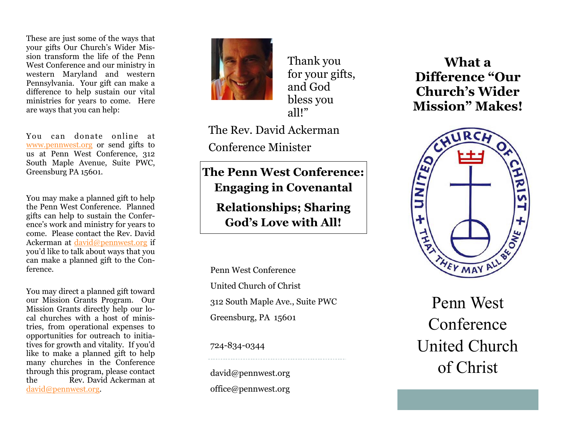These are just some of the ways that your gifts Our Church's Wider Mission transform the life of the Penn West Conference and our ministry in western Maryland and western Pennsylvania. Your gift can make a difference to help sustain our vital ministries for years to come. Here are ways that you can help:

You can donate online at www.pennwest.org or send gifts to us at Penn West Conference, 312 South Maple Avenue, Suite PWC, Greensburg PA 15601.

You may make a planned gift to help the Penn West Conference. Planned gifts can help to sustain the Conference's work and ministry for years to come. Please contact the Rev. David Ackerman at david@pennwest.org if you'd like to talk about ways that you can make a planned gift to the Conference.

You may direct a planned gift toward our Mission Grants Program. Our Mission Grants directly help our local churches with a host of ministries, from operational expenses to opportunities for outreach to initiatives for growth and vitality. If you'd like to make a planned gift to help many churches in the Conference through this program, please contact the Rev. David Ackerman at david@pennwest.org.



Thank you for your gifts, and God bless you all!"

The Rev. David Ackerman Conference Minister

**The Penn West Conference: Engaging in Covenantal Relationships; Sharing God's Love with All!** 

Penn West Conference United Church of Christ 312 South Maple Ave., Suite PWC Greensburg, PA 15601

724-834-0344

david@pennwest.org office@pennwest.org

**What a Difference "Our Church's Wider Mission" Makes!** 



Penn West Conference United Church of Christ